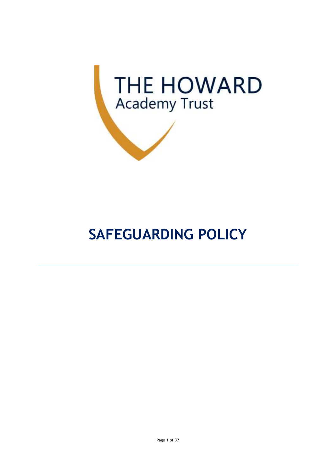

# **SAFEGUARDING POLICY**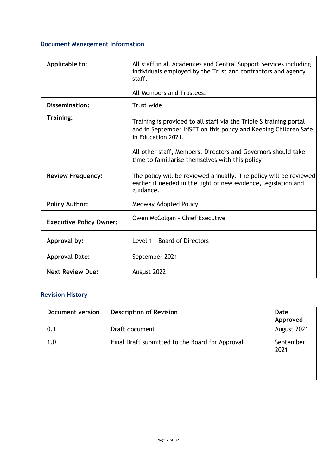### **Document Management Information**

| Applicable to:                 | All staff in all Academies and Central Support Services including<br>individuals employed by the Trust and contractors and agency<br>staff.                 |
|--------------------------------|-------------------------------------------------------------------------------------------------------------------------------------------------------------|
|                                | All Members and Trustees.                                                                                                                                   |
| <b>Dissemination:</b>          | Trust wide                                                                                                                                                  |
| Training:                      | Training is provided to all staff via the Triple S training portal<br>and in September INSET on this policy and Keeping Children Safe<br>in Education 2021. |
|                                | All other staff, Members, Directors and Governors should take<br>time to familiarise themselves with this policy                                            |
| <b>Review Frequency:</b>       | The policy will be reviewed annually. The policy will be reviewed<br>earlier if needed in the light of new evidence, legislation and<br>guidance.           |
| <b>Policy Author:</b>          | Medway Adopted Policy                                                                                                                                       |
| <b>Executive Policy Owner:</b> | Owen McColgan - Chief Executive                                                                                                                             |
| Approval by:                   | Level 1 - Board of Directors                                                                                                                                |
| <b>Approval Date:</b>          | September 2021                                                                                                                                              |
| <b>Next Review Due:</b>        | August 2022                                                                                                                                                 |

### **Revision History**

| <b>Document version</b> | <b>Description of Revision</b>                  | Date<br>Approved  |
|-------------------------|-------------------------------------------------|-------------------|
| 0.1                     | Draft document                                  | August 2021       |
| 1.0                     | Final Draft submitted to the Board for Approval | September<br>2021 |
|                         |                                                 |                   |
|                         |                                                 |                   |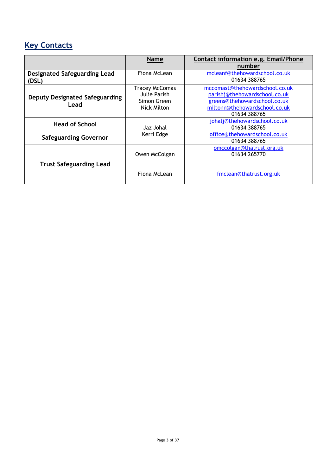# **Key Contacts**

| <b>Name</b>                           |                       | Contact information e.g. Email/Phone          |
|---------------------------------------|-----------------------|-----------------------------------------------|
|                                       |                       | number                                        |
| <b>Designated Safeguarding Lead</b>   | Fiona McLean          | mcleanf@thehowardschool.co.uk<br>01634 388765 |
| (DSL)                                 |                       |                                               |
|                                       | <b>Tracey McComas</b> | mccomast@thehowardschool.co.uk                |
| <b>Deputy Designated Safeguarding</b> | Julie Parish          | parishj@thehowardschool.co.uk                 |
| Lead                                  | Simon Green           | greens@thehowardschool.co.uk                  |
|                                       | Nick Milton           | miltonn@thehowardschool.co.uk                 |
|                                       |                       | 01634 388765                                  |
| <b>Head of School</b>                 |                       | johalj@thehowardschool.co.uk                  |
|                                       | Jaz Johal             | 01634 388765                                  |
|                                       | Kerri Edge            | office@thehowardschool.co.uk                  |
| <b>Safeguarding Governor</b>          |                       | 01634 388765                                  |
|                                       |                       | omccolgan@thatrust.org.uk                     |
|                                       | Owen McColgan         | 01634 265770                                  |
| <b>Trust Safeguarding Lead</b>        |                       |                                               |
|                                       |                       |                                               |
|                                       | Fiona McLean          | fmclean@thatrust.org.uk                       |
|                                       |                       |                                               |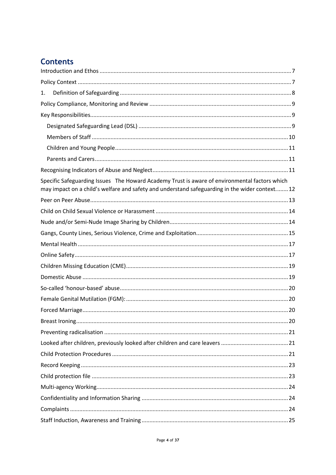# **Contents**

| 1.                                                                                                                                                                                              |  |
|-------------------------------------------------------------------------------------------------------------------------------------------------------------------------------------------------|--|
|                                                                                                                                                                                                 |  |
|                                                                                                                                                                                                 |  |
|                                                                                                                                                                                                 |  |
|                                                                                                                                                                                                 |  |
|                                                                                                                                                                                                 |  |
|                                                                                                                                                                                                 |  |
|                                                                                                                                                                                                 |  |
| Specific Safeguarding Issues The Howard Academy Trust is aware of environmental factors which<br>may impact on a child's welfare and safety and understand safeguarding in the wider context 12 |  |
|                                                                                                                                                                                                 |  |
|                                                                                                                                                                                                 |  |
|                                                                                                                                                                                                 |  |
|                                                                                                                                                                                                 |  |
|                                                                                                                                                                                                 |  |
|                                                                                                                                                                                                 |  |
|                                                                                                                                                                                                 |  |
|                                                                                                                                                                                                 |  |
|                                                                                                                                                                                                 |  |
|                                                                                                                                                                                                 |  |
|                                                                                                                                                                                                 |  |
|                                                                                                                                                                                                 |  |
|                                                                                                                                                                                                 |  |
|                                                                                                                                                                                                 |  |
|                                                                                                                                                                                                 |  |
|                                                                                                                                                                                                 |  |
|                                                                                                                                                                                                 |  |
|                                                                                                                                                                                                 |  |
|                                                                                                                                                                                                 |  |
|                                                                                                                                                                                                 |  |
|                                                                                                                                                                                                 |  |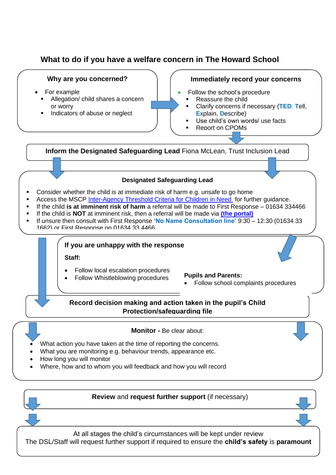# **What to do if you have a welfare concern in The Howard School**



The DSL/Staff will request further support if required to ensure the **child's safety** is **paramount** At all stages the child's circumstances will be kept under review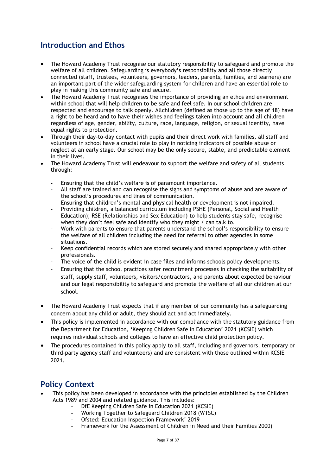# <span id="page-6-0"></span>**Introduction and Ethos**

- The Howard Academy Trust recognise our statutory responsibility to safeguard and promote the welfare of all children. Safeguarding is everybody's responsibility and all those directly connected (staff, trustees, volunteers, governors, leaders, parents, families, and learners) are an important part of the wider safeguarding system for children and have an essential role to play in making this community safe and secure.
- The Howard Academy Trust recognises the importance of providing an ethos and environment within school that will help children to be safe and feel safe. In our school children are respected and encourage to talk openly. Allchildren (defined as those up to the age of 18) have a right to be heard and to have their wishes and feelings taken into account and all children regardless of age, gender, ability, culture, race, language, religion, or sexual identity, have equal rights to protection.
- Through their day-to-day contact with pupils and their direct work with families, all staff and volunteers in school have a crucial role to play in noticing indicators of possible abuse or neglect at an early stage. Our school may be the only secure, stable, and predictable element in their lives.
- The Howard Academy Trust will endeavour to support the welfare and safety of all students through:
	- Ensuring that the child's welfare is of paramount importance.
	- All staff are trained and can recognise the signs and symptoms of abuse and are aware of the school's procedures and lines of communication.
	- Ensuring that children's mental and physical health or development is not impaired.
	- Providing children, a balanced curriculum including PSHE (Personal, Social and Health Education); RSE (Relationships and Sex Education) to help students stay safe, recognise when they don't feel safe and identify who they might / can talk to.
	- Work with parents to ensure that parents understand the school's responsibility to ensure the welfare of all children including the need for referral to other agencies in some situations.
	- Keep confidential records which are stored securely and shared appropriately with other professionals.
	- The voice of the child is evident in case files and informs schools policy developments.
	- Ensuring that the school practices safer recruitment processes in checking the suitability of staff, supply staff, volunteers, visitors/contractors, and parents about expected behaviour and our legal responsibility to safeguard and promote the welfare of all our children at our school.
- The Howard Academy Trust expects that if any member of our community has a safeguarding concern about any child or adult, they should act and act immediately.
- This policy is implemented in accordance with our compliance with the statutory guidance from the Department for Education, **'**Keeping Children Safe in Education' 2021 (KCSIE) which requires individual schools and colleges to have an effective child protection policy.
- The procedures contained in this policy apply to all staff, including and governors, temporary or third-party agency staff and volunteers) and are consistent with those outlined within KCSIE 2021.

### <span id="page-6-1"></span>**Policy Context**

- This policy has been developed in accordance with the principles established by the Children Acts 1989 and 2004 and related guidance. This includes:
	- DfE Keeping Children Safe in Education 2021 (KCSIE)
	- Working Together to Safeguard Children 2018 (WTSC)
	- Ofsted: Education Inspection Framework' 2019
	- Framework for the Assessment of Children in Need and their Families 2000)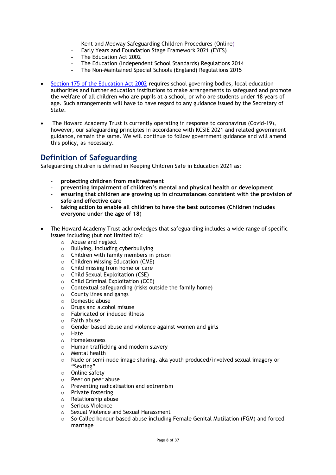- Kent and Medway Safeguarding Children Procedures (Online)
- Early Years and Foundation Stage Framework 2021 (EYFS)
- The Education Act 2002
- The Education (Independent School Standards) Regulations 2014
- The Non-Maintained Special Schools (England) Regulations 2015
- [Section 175 of the Education Act 2002](http://www.legislation.gov.uk/ukpga/2002/32/section/175?timeline=true) requires school governing bodies, local education authorities and further education institutions to make arrangements to safeguard and promote the welfare of all children who are pupils at a school, or who are students under 18 years of age. Such arrangements will have to have regard to any guidance issued by the Secretary of State.
- The Howard Academy Trust is currently operating in response to coronavirus (Covid-19), however, our safeguarding principles in accordance with KCSIE 2021 and related government guidance, remain the same. We will continue to follow government guidance and will amend this policy, as necessary.

### <span id="page-7-0"></span>**Definition of Safeguarding**

Safeguarding children is defined in Keeping Children Safe in Education 2021 as:

- **protecting children from maltreatment**
- **preventing impairment of children's mental and physical health or development**
- **ensuring that children are growing up in circumstances consistent with the provision of safe and effective care**
- **taking action to enable all children to have the best outcomes (Children includes everyone under the age of 18**)
- The Howard Academy Trust acknowledges that safeguarding includes a wide range of specific issues including (but not limited to):
	- o Abuse and neglect
	- o Bullying, including cyberbullying
	- o Children with family members in prison
	- o Children Missing Education (CME)
	- o Child missing from home or care
	- o Child Sexual Exploitation (CSE)
	- $\circ$  Child Criminal Exploitation (CCE)
	- o Contextual safeguarding (risks outside the family home)
	- o County lines and gangs
	- o Domestic abuse
	- o Drugs and alcohol misuse
	- o Fabricated or induced illness
	- $\circ$  Faith abuse
	- o Gender based abuse and violence against women and girls
	- o Hate
	- o Homelessness
	- o Human trafficking and modern slavery
	- o Mental health
	- $\circ$  Nude or semi-nude image sharing, aka youth produced/involved sexual imagery or "Sexting"
	- o Online safety
	- $\circ$  Peer on peer abuse<br> $\circ$  Preventing radicalis
	- Preventing radicalisation and extremism
	- o Private fostering
	- o Relationship abuse
	- o Serious Violence
	- o Sexual Violence and Sexual Harassment
	- $\circ$  So-Called honour-based abuse including Female Genital Mutilation (FGM) and forced marriage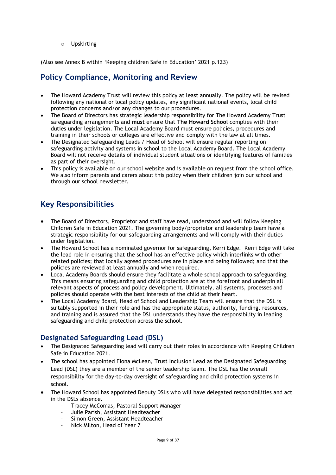o Upskirting

(Also see Annex B within 'Keeping children Safe in Education' 2021 p.123)

### <span id="page-8-0"></span>**Policy Compliance, Monitoring and Review**

- The Howard Academy Trust will review this policy at least annually. The policy will be revised following any national or local policy updates, any significant national events, local child protection concerns and/or any changes to our procedures.
- The Board of Directors has strategic leadership responsibility for The Howard Academy Trust safeguarding arrangements and **must** ensure that **The Howard School** complies with their duties under legislation. The Local Academy Board must ensure policies, procedures and training in their schools or colleges are effective and comply with the law at all times.
- The Designated Safeguarding Leads / Head of School will ensure regular reporting on safeguarding activity and systems in school to the Local Academy Board. The Local Academy Board will not receive details of individual student situations or identifying features of families as part of their oversight.
- This policy is available on our school website and is available on request from the school office. We also inform parents and carers about this policy when their children join our school and through our school newsletter.

# <span id="page-8-1"></span>**Key Responsibilities**

- The Board of Directors, Proprietor and staff have read, understood and will follow Keeping Children Safe in Education 2021. The governing body/proprietor and leadership team have a strategic responsibility for our safeguarding arrangements and will comply with their duties under legislation.
- The Howard School has a nominated governor for safeguarding, Kerri Edge. Kerri Edge will take the lead role in ensuring that the school has an effective policy which interlinks with other related policies; that locally agreed procedures are in place and being followed; and that the policies are reviewed at least annually and when required.
- Local Academy Boards should ensure they facilitate a whole school approach to safeguarding. This means ensuring safeguarding and child protection are at the forefront and underpin all relevant aspects of process and policy development. Ultimately, all systems, processes and policies should operate with the best interests of the child at their heart.
- The Local Academy Board, Head of School and Leadership Team will ensure that the DSL is suitably supported in their role and has the appropriate status, authority, funding, resources, and training and is assured that the DSL understands they have the responsibility in leading safeguarding and child protection across the school.

### <span id="page-8-2"></span>**Designated Safeguarding Lead (DSL)**

- The Designated Safeguarding lead will carry out their roles in accordance with Keeping Children Safe in Education 2021.
- The school has appointed Fiona McLean, Trust Inclusion Lead as the Designated Safeguarding Lead (DSL) they are a member of the senior leadership team. The DSL has the overall responsibility for the day-to-day oversight of safeguarding and child protection systems in school.
- The Howard School has appointed Deputy DSLs who will have delegated responsibilities and act in the DSLs absence.
	- Tracey McComas, Pastoral Support Manager
	- Julie Parish, Assistant Headteacher
	- Simon Green, Assistant Headteacher
	- Nick Milton, Head of Year 7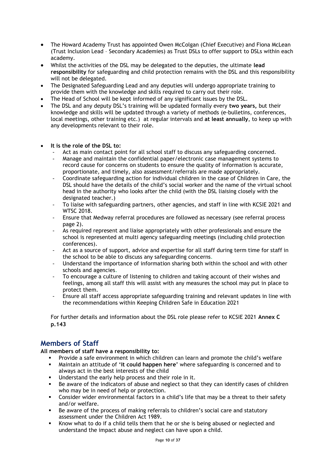- The Howard Academy Trust has appointed Owen McColgan (Chief Executive) and Fiona McLean (Trust Inclusion Lead – Secondary Academies) as Trust DSLs to offer support to DSLs within each academy.
- Whilst the activities of the DSL may be delegated to the deputies, the ultimate **lead responsibility** for safeguarding and child protection remains with the DSL and this responsibility will not be delegated.
- The Designated Safeguarding Lead and any deputies will undergo appropriate training to provide them with the knowledge and skills required to carry out their role.
- The Head of School will be kept informed of any significant issues by the DSL.
- The DSL and any deputy DSL's training will be updated formally every **two years,** but their knowledge and skills will be updated through a variety of methods (e-bulletins, conferences, local meetings, other training etc.) at regular intervals and **at least annually**, to keep up with any developments relevant to their role.
- **It is the role of the DSL to:**
	- Act as main contact point for all school staff to discuss any safeguarding concerned.
	- Manage and maintain the confidential paper/electronic case management systems to record cause for concerns on students to ensure the quality of information is accurate, proportionate, and timely, also assessment/referrals are made appropriately.
	- Coordinate safeguarding action for individual children in the case of Children in Care, the DSL should have the details of the child's social worker and the name of the virtual school head in the authority who looks after the child (with the DSL liaising closely with the designated teacher.)
	- To liaise with safeguarding partners, other agencies, and staff in line with KCSIE 2021 and WTSC 2018.
	- Ensure that Medway referral procedures are followed as necessary (see referral process page 2).
	- As required represent and liaise appropriately with other professionals and ensure the school is represented at multi agency safeguarding meetings (including child protection conferences).
	- Act as a source of support, advice and expertise for all staff during term time for staff in the school to be able to discuss any safeguarding concerns.
	- Understand the importance of information sharing both within the school and with other schools and agencies.
	- To encourage a culture of listening to children and taking account of their wishes and feelings, among all staff this will assist with any measures the school may put in place to protect them.
	- Ensure all staff access appropriate safeguarding training and relevant updates in line with the recommendations within Keeping Children Safe in Education 2021

For further details and information about the DSL role please refer to KCSIE 2021 **Annex C p.143**

### <span id="page-9-0"></span>**Members of Staff**

**All members of staff have a responsibility to:**

- Provide a safe environment in which children can learn and promote the child's welfare
- Maintain an attitude of **'it could happen here'** where safeguarding is concerned and to always act in the best interests of the child
- Understand the early help process and their role in it.
- Be aware of the indicators of abuse and neglect so that they can identify cases of children who may be in need of help or protection.
- Consider wider environmental factors in a child's life that may be a threat to their safety and/or welfare.
- Be aware of the process of making referrals to children's social care and statutory assessment under the Children Act 1989.
- Know what to do if a child tells them that he or she is being abused or neglected and understand the impact abuse and neglect can have upon a child.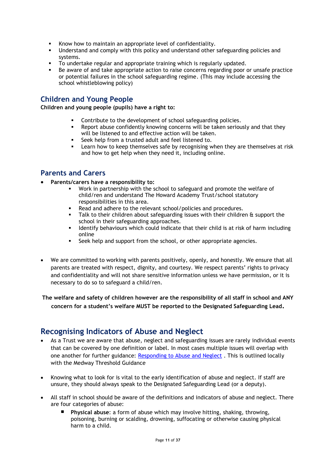- Know how to maintain an appropriate level of confidentiality.
- Understand and comply with this policy and understand other safeguarding policies and systems.
- To undertake regular and appropriate training which is regularly updated.
- Be aware of and take appropriate action to raise concerns regarding poor or unsafe practice or potential failures in the school safeguarding regime. (This may include accessing the school whistleblowing policy)

### <span id="page-10-0"></span>**Children and Young People**

**Children and young people (pupils) have a right to:**

- Contribute to the development of school safeguarding policies.
- Report abuse confidently knowing concerns will be taken seriously and that they will be listened to and effective action will be taken.
- Seek help from a trusted adult and feel listened to.
- Learn how to keep themselves safe by recognising when they are themselves at risk and how to get help when they need it, including online.

### <span id="page-10-1"></span>**Parents and Carers**

- **Parents/carers have a responsibility to:**
	- Work in partnership with the school to safeguard and promote the welfare of child/ren and understand The Howard Academy Trust/school statutory responsibilities in this area.
	- Read and adhere to the relevant school/policies and procedures.
	- **·** Talk to their children about safeguarding issues with their children & support the school in their safeguarding approaches.
	- **■** Identify behaviours which could indicate that their child is at risk of harm including online
	- Seek help and support from the school, or other appropriate agencies.
- We are committed to working with parents positively, openly, and honestly. We ensure that all parents are treated with respect, dignity, and courtesy. We respect parents' rights to privacy and confidentiality and will not share sensitive information unless we have permission, or it is necessary to do so to safeguard a child/ren.

**The welfare and safety of children however are the responsibility of all staff in school and ANY concern for a student's welfare MUST be reported to the Designated Safeguarding Lead.**

### <span id="page-10-2"></span>**Recognising Indicators of Abuse and Neglect**

- As a Trust we are aware that abuse, neglect and safeguarding issues are rarely individual events that can be covered by one definition or label. In most cases multiple issues will overlap with one another for further guidance: [Responding to Abuse and Neglect](http://www.proceduresonline.com/kentandmedway/chapters/p_respond_neglect.html) . This is outlined locally with the Medway Threshold Guidance
- Knowing what to look for is vital to the early identification of abuse and neglect. If staff are unsure, they should always speak to the Designated Safeguarding Lead (or a deputy).
- All staff in school should be aware of the definitions and indicators of abuse and neglect. There are four categories of abuse:
	- Physical abuse: a form of abuse which may involve hitting, shaking, throwing, poisoning, burning or scalding, drowning, suffocating or otherwise causing physical harm to a child.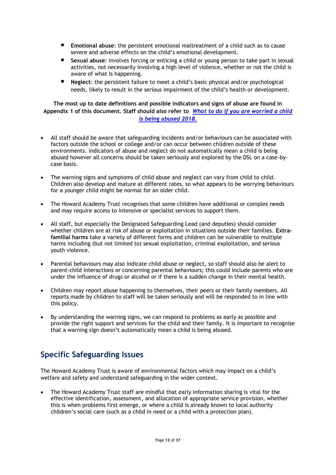- **Emotional abuse**: the persistent emotional maltreatment of a child such as to cause severe and adverse effects on the child's emotional development.
- Sexual abuse: involves forcing or enticing a child or young person to take part in sexual activities, not necessarily involving a high level of violence, whether or not the child is aware of what is happening.
- **Neglect:** the persistent failure to meet a child's basic physical and/or psychological needs, likely to result in the serious impairment of the child's health or development.

### **The most up to date definitions and possible indicators and signs of abuse are found in Appendix 1 of this document. Staff should also refer to** *[What to do if you are worried a child](https://www.gov.uk/government/publications/what-to-do-if-youre-worried-a-child-is-being-abused--2)  [is being abused 2018.](https://www.gov.uk/government/publications/what-to-do-if-youre-worried-a-child-is-being-abused--2)*

- All staff should be aware that safeguarding incidents and/or behaviours can be associated with factors outside the school or college and/or can occur between children outside of these environments. indicators of abuse and neglect do not automatically mean a child is being abused however all concerns should be taken seriously and explored by the DSL on a case-bycase basis.
- The warning signs and symptoms of child abuse and neglect can vary from child to child. Children also develop and mature at different rates, so what appears to be worrying behaviours for a younger child might be normal for an older child.
- The Howard Academy Trust recognises that some children have additional or complex needs and may require access to intensive or specialist services to support them.
- All staff, but especially the Designated Safeguarding Lead (and deputies) should consider whether children are at risk of abuse or exploitation in situations outside their families. **Extrafamilial harms** take a variety of different forms and children can be vulnerable to multiple harms including (but not limited to) sexual exploitation, criminal exploitation, and serious youth violence.
- Parental behaviours may also indicate child abuse or neglect, so staff should also be alert to parent-child interactions or concerning parental behaviours; this could include parents who are under the influence of drugs or alcohol or if there is a sudden change in their mental health.
- Children may report abuse happening to themselves, their peers or their family members. All reports made by children to staff will be taken seriously and will be responded to in line with this policy.
- By understanding the warning signs, we can respond to problems as early as possible and provide the right support and services for the child and their family. It is important to recognise that a warning sign doesn't automatically mean a child is being abused.

### <span id="page-11-0"></span>**Specific Safeguarding Issues**

The Howard Academy Trust is aware of environmental factors which may impact on a child's welfare and safety and understand safeguarding in the wider context.

• The Howard Academy Trust staff are mindful that early information sharing is vital for the effective identification, assessment, and allocation of appropriate service provision, whether this is when problems first emerge, or where a child is already known to local authority children's social care (such as a child in need or a child with a protection plan).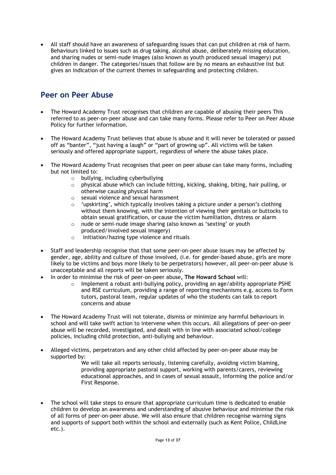• All staff should have an awareness of safeguarding issues that can put children at risk of harm. Behaviours linked to issues such as drug taking, alcohol abuse, deliberately missing education, and sharing nudes or semi-nude images (also known as youth produced sexual imagery) put children in danger. The categories/issues that follow are by no means an exhaustive list but gives an indication of the current themes in safeguarding and protecting children.

### <span id="page-12-0"></span>**Peer on Peer Abuse**

- The Howard Academy Trust recognises that children are capable of abusing their peers This referred to as peer-on-peer abuse and can take many forms. Please refer to Peer on Peer Abuse Policy for further information.
- The Howard Academy Trust believes that abuse is abuse and it will never be tolerated or passed off as "banter", "just having a laugh" or "part of growing up". All victims will be taken seriously and offered appropriate support, regardless of where the abuse takes place.
- The Howard Academy Trust recognises that peer on peer abuse can take many forms, including but not limited to:
	- o bullying, including cyberbullying
	- o physical abuse which can include hitting, kicking, shaking, biting, hair pulling, or otherwise causing physical harm
	- o sexual violence and sexual harassment
	- $\circ$  'upskirting', which typically involves taking a picture under a person's clothing without them knowing, with the intention of viewing their genitals or buttocks to obtain sexual gratification, or cause the victim humiliation, distress or alarm
	- o nude or semi-nude image sharing (also known as 'sexting' or youth
	- produced/involved sexual imagery) o initiation/hazing type violence and rituals
- Staff and leadership recognise that that some peer-on-peer abuse issues may be affected by gender, age, ability and culture of those involved, (i.e. for gender-based abuse, girls are more likely to be victims and boys more likely to be perpetrators) however, all peer-on-peer abuse is unacceptable and all reports will be taken seriously.
- In order to minimise the risk of peer-on-peer abuse**, The Howard School** will:
	- $\circ$  Implement a robust anti-bullying policy, providing an age/ability appropriate PSHE and RSE curriculum, providing a range of reporting mechanisms e.g. access to Form tutors, pastoral team, regular updates of who the students can talk to report concerns and abuse
- The Howard Academy Trust will not tolerate, dismiss or minimize any harmful behaviours in school and will take swift action to intervene when this occurs. All allegations of peer-on-peer abuse will be recorded, investigated, and dealt with in line with associated school/college policies, including child protection, anti-bullying and behaviour.
- Alleged victims, perpetrators and any other child affected by peer-on-peer abuse may be supported by:
	- We will take all reports seriously, listening carefully, avoiding victim blaming, providing appropriate pastoral support, working with parents/carers, reviewing educational approaches, and in cases of sexual assault, informing the police and/or First Response*.*
- The school will take steps to ensure that appropriate curriculum time is dedicated to enable children to develop an awareness and understanding of abusive behaviour and minimise the risk of all forms of peer-on-peer abuse. We will also ensure that children recognise warning signs and supports of support both within the school and externally (such as Kent Police, ChildLine etc.).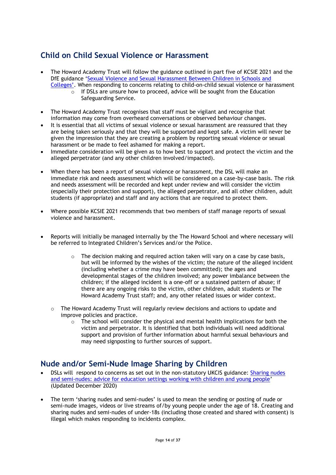# <span id="page-13-0"></span>**Child on Child Sexual Violence or Harassment**

- The Howard Academy Trust will follow the guidance outlined in part five of KCSIE 2021 and the DfE guidance '[Sexual Violence and Sexual Harassment Between Children in Schools and](https://www.gov.uk/government/publications/sexual-violence-and-sexual-harassment-between-children-in-schools-and-colleges)  [Colleges'](https://www.gov.uk/government/publications/sexual-violence-and-sexual-harassment-between-children-in-schools-and-colleges). When responding to concerns relating to child-on-child sexual violence or harassment
	- $\circ$  If DSLs are unsure how to proceed, advice will be sought from the Education Safeguarding Service.
- The Howard Academy Trust recognises that staff must be vigilant and recognise that information may come from overheard conversations or observed behaviour changes.
- It is essential that all victims of sexual violence or sexual harassment are reassured that they are being taken seriously and that they will be supported and kept safe. A victim will never be given the impression that they are creating a problem by reporting sexual violence or sexual harassment or be made to feel ashamed for making a report.
- Immediate consideration will be given as to how best to support and protect the victim and the alleged perpetrator (and any other children involved/impacted).
- When there has been a report of sexual violence or harassment, the DSL will make an immediate risk and needs assessment which will be considered on a case-by-case basis. The risk and needs assessment will be recorded and kept under review and will consider the victim (especially their protection and support), the alleged perpetrator, and all other children, adult students (if appropriate**)** and staff and any actions that are required to protect them.
- Where possible KCSIE 2021 recommends that two members of staff manage reports of sexual violence and harassment.
- Reports will initially be managed internally by the The Howard School and where necessary will be referred to Integrated Children's Services and/or the Police.
	- $\circ$  The decision making and required action taken will vary on a case by case basis, but will be informed by the wishes of the victim; the nature of the alleged incident (including whether a crime may have been committed); the ages and developmental stages of the children involved; any power imbalance between the children; if the alleged incident is a one-off or a sustained pattern of abuse; if there are any ongoing risks to the victim, other children, adult students or The Howard Academy Trust staff; and, any other related issues or wider context.
	- $\circ$  The Howard Academy Trust will regularly review decisions and actions to update and improve policies and practice.
		- $\circ$  The school will consider the physical and mental health implications for both the victim and perpetrator. It is identified that both individuals will need additional support and provision of further information about harmful sexual behaviours and may need signposting to further sources of support.

### <span id="page-13-1"></span>**Nude and/or Semi-Nude Image Sharing by Children**

- DSLs will respond to concerns as set out in the non-statutory UKCIS guidance: [Sharing nudes](https://www.gov.uk/government/publications/sharing-nudes-and-semi-nudes-advice-for-education-settings-working-with-children-and-young-people)  [and semi-nudes: advice for education settings working with children and young people](https://www.gov.uk/government/publications/sharing-nudes-and-semi-nudes-advice-for-education-settings-working-with-children-and-young-people)' (Updated December 2020)
- The term 'sharing nudes and semi-nudes' is used to mean the sending or posting of nude or semi-nude images, videos or live streams of/by young people under the age of 18. Creating and sharing nudes and semi-nudes of under-18s (including those created and shared with consent) is illegal which makes responding to incidents complex.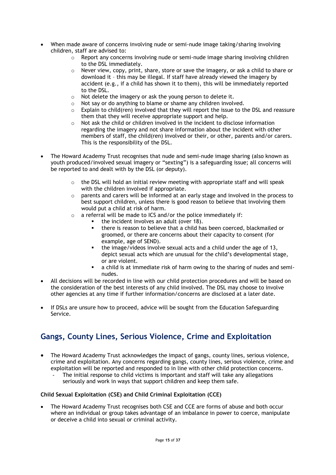- When made aware of concerns involving nude or semi-nude image taking/sharing involving children, staff are advised to:
	- $\circ$  Report any concerns involving nude or semi-nude image sharing involving children to the DSL immediately.
	- o Never view, copy, print, share, store or save the imagery, or ask a child to share or download it – this may be illegal. If staff have already viewed the imagery by accident (e.g., if a child has shown it to them), this will be immediately reported to the DSL.
	- o Not delete the imagery or ask the young person to delete it.
	- o Not say or do anything to blame or shame any children involved.
	- $\circ$  Explain to child(ren) involved that they will report the issue to the DSL and reassure them that they will receive appropriate support and help.
	- o Not ask the child or children involved in the incident to disclose information regarding the imagery and not share information about the incident with other members of staff, the child(ren) involved or their, or other, parents and/or carers. This is the responsibility of the DSL.
- The Howard Academy Trust recognises that nude and semi-nude image sharing (also known as youth produced/involved sexual imagery or "sexting") is a safeguarding issue; all concerns will be reported to and dealt with by the DSL (or deputy).
	- $\circ$  the DSL will hold an initial review meeting with appropriate staff and will speak with the children involved if appropriate.
	- $\circ$  parents and carers will be informed at an early stage and involved in the process to best support children, unless there is good reason to believe that involving them would put a child at risk of harm.
	- $\circ$  a referral will be made to ICS and/or the police immediately if:
		- the incident involves an adult (over 18).
		- there is reason to believe that a child has been coerced, blackmailed or groomed, or there are concerns about their capacity to consent (for example, age of SEND).
		- the image/videos involve sexual acts and a child under the age of 13, depict sexual acts which are unusual for the child's developmental stage, or are violent.
		- a child is at immediate risk of harm owing to the sharing of nudes and seminudes.
- All decisions will be recorded in line with our child protection procedures and will be based on the consideration of the best interests of any child involved. The DSL may choose to involve other agencies at any time if further information/concerns are disclosed at a later date.
- If DSLs are unsure how to proceed, advice will be sought from the Education Safeguarding Service.

# <span id="page-14-0"></span>**Gangs, County Lines, Serious Violence, Crime and Exploitation**

- The Howard Academy Trust acknowledges the impact of gangs, county lines, serious violence, crime and exploitation. Any concerns regarding gangs, county lines, serious violence, crime and exploitation will be reported and responded to in line with other child protection concerns.
	- The initial response to child victims is important and staff will take any allegations seriously and work in ways that support children and keep them safe.

### **Child Sexual Exploitation (CSE) and Child Criminal Exploitation (CCE)**

• The Howard Academy Trust recognises both CSE and CCE are forms of abuse and both occur where an individual or group takes advantage of an imbalance in power to coerce, manipulate or deceive a child into sexual or criminal activity.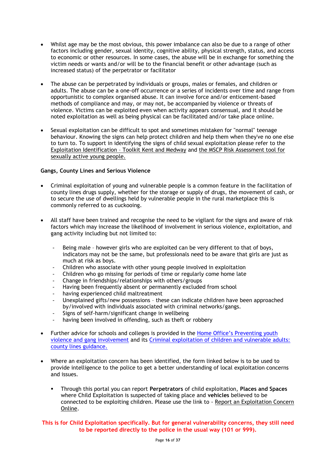- Whilst age may be the most obvious, this power imbalance can also be due to a range of other factors including gender, sexual identity, cognitive ability, physical strength, status, and access to economic or other resources. In some cases, the abuse will be in exchange for something the victim needs or wants and/or will be to the financial benefit or other advantage (such as increased status) of the perpetrator or facilitator
- The abuse can be perpetrated by individuals or groups, males or females, and children or adults. The abuse can be a one-off occurrence or a series of incidents over time and range from opportunistic to complex organised abuse. It can involve force and/or enticement-based methods of compliance and may, or may not, be accompanied by violence or threats of violence. Victims can be exploited even when activity appears consensual, and it should be noted exploitation as well as being physical can be facilitated and/or take place online.
- Sexual exploitation can be difficult to spot and sometimes mistaken for "normal" teenage behaviour. Knowing the signs can help protect children and help them when they've no one else to turn to. To support in identifying the signs of child sexual exploitation please refer to the [Exploitation Identification](https://www.medway.gov.uk/mscb/info/4/advice-resources-professionals/19/child-sexual-exploitation) – Toolkit Kent and Medway and [the MSCP Risk Assessment tool for](https://www.medwayscp.org.uk/mscb/info/4/advice-resources-professionals/29/working-young-people-sexually-active)  [sexually active young people.](https://www.medwayscp.org.uk/mscb/info/4/advice-resources-professionals/29/working-young-people-sexually-active)

#### **Gangs, County Lines and Serious Violence**

- Criminal exploitation of young and vulnerable people is a common feature in the facilitation of county lines drugs supply, whether for the storage or supply of drugs, the movement of cash, or to secure the use of dwellings held by vulnerable people in the rural marketplace this is commonly referred to as cuckooing.
- All staff have been trained and recognise the need to be vigilant for the signs and aware of risk factors which may increase the likelihood of involvement in serious violence, exploitation, and gang activity including but not limited to:
	- Being male however girls who are exploited can be very different to that of boys, indicators may not be the same, but professionals need to be aware that girls are just as much at risk as boys.
	- Children who associate with other young people involved in exploitation
	- Children who go missing for periods of time or regularly come home late
	- Change in friendships/relationships with others/groups
	- Having been frequently absent or permanently excluded from school
	- having experienced child maltreatment
	- Unexplained gifts/new possessions these can indicate children have been approached by/involved with individuals associated with criminal networks/gangs.
	- Signs of self-harm/significant change in wellbeing
	- having been involved in offending, such as theft or robbery
- Further advice for schools and colleges is provided in the [Home Office's Preventing youth](https://www.gov.uk/government/publications/advice-to-schools-and-colleges-on-gangs-and-youth-violence)  [violence and gang involvement](https://www.gov.uk/government/publications/advice-to-schools-and-colleges-on-gangs-and-youth-violence) and its [Criminal exploitation of children and vulnerable adults:](https://www.gov.uk/government/publications/criminal-exploitation-of-children-and-vulnerable-adults-county-lines)  [county lines guidance.](https://www.gov.uk/government/publications/criminal-exploitation-of-children-and-vulnerable-adults-county-lines)
- Where an exploitation concern has been identified, the form linked below is to be used to provide intelligence to the police to get a better understanding of local exploitation concerns and issues.
	- Through this portal you can report **Perpetrators** of child exploitation, **Places and Spaces**  where Child Exploitation is suspected of taking place and **vehicles** believed to be connected to be exploiting children. Please use the link to - [Report an Exploitation Concern](https://www.qes-online.com/Kent/eIntel/Live/m/eintel/public/index)  [Online.](https://www.qes-online.com/Kent/eIntel/Live/m/eintel/public/index)

#### **This is for Child Exploitation specifically. But for general vulnerability concerns, they still need to be reported directly to the police in the usual way (101 or 999).**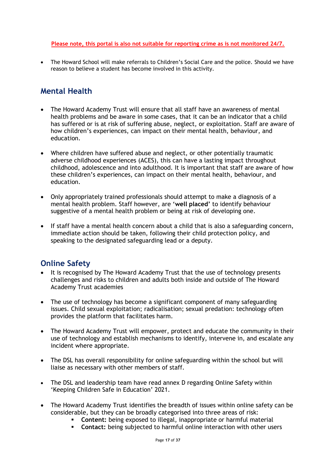#### **Please note, this portal is also not suitable for reporting crime as is not monitored 24/7.**

• The Howard School will make referrals to Children's Social Care and the police. Should we have reason to believe a student has become involved in this activity.

# <span id="page-16-0"></span>**Mental Health**

- The Howard Academy Trust will ensure that all staff have an awareness of mental health problems and be aware in some cases, that it can be an indicator that a child has suffered or is at risk of suffering abuse, neglect, or exploitation. Staff are aware of how children's experiences, can impact on their mental health, behaviour, and education.
- Where children have suffered abuse and neglect, or other potentially traumatic adverse childhood experiences (ACES), this can have a lasting impact throughout childhood, adolescence and into adulthood. It is important that staff are aware of how these children's experiences, can impact on their mental health, behaviour, and education.
- Only appropriately trained professionals should attempt to make a diagnosis of a mental health problem. Staff however, are '**well placed'** to identify behaviour suggestive of a mental health problem or being at risk of developing one.
- If staff have a mental health concern about a child that is also a safeguarding concern, immediate action should be taken, following their child protection policy, and speaking to the designated safeguarding lead or a deputy.

### <span id="page-16-1"></span>**Online Safety**

- It is recognised by The Howard Academy Trust that the use of technology presents challenges and risks to children and adults both inside and outside of The Howard Academy Trust academies
- The use of technology has become a significant component of many safeguarding issues. Child sexual exploitation; radicalisation; sexual predation: technology often provides the platform that facilitates harm.
- The Howard Academy Trust will empower, protect and educate the community in their use of technology and establish mechanisms to identify, intervene in, and escalate any incident where appropriate.
- The DSL has overall responsibility for online safeguarding within the school but will liaise as necessary with other members of staff.
- The DSL and leadership team have read annex D regarding Online Safety within 'Keeping Children Safe in Education' 2021.
- The Howard Academy Trust identifies the breadth of issues within online safety can be considerable, but they can be broadly categorised into three areas of risk:
	- **Content:** being exposed to illegal, inappropriate or harmful material
	- **EXECONTER 1** Contact: being subjected to harmful online interaction with other users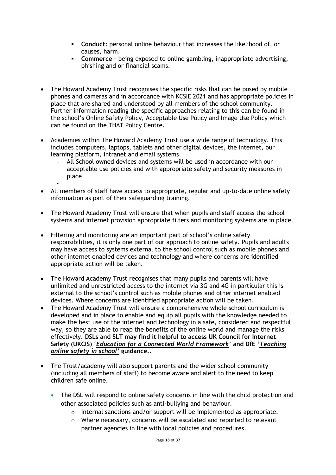- **Conduct:** personal online behaviour that increases the likelihood of, or causes, harm.
- **Commerce –** being exposed to online gambling, inappropriate advertising, phishing and or financial scams.
- The Howard Academy Trust recognises the specific risks that can be posed by mobile phones and cameras and in accordance with KCSIE 2021 and has appropriate policies in place that are shared and understood by all members of the school community. Further information reading the specific approaches relating to this can be found in the school's Online Safety Policy, Acceptable Use Policy and Image Use Policy which can be found on the THAT Policy Centre.
- Academies within The Howard Academy Trust use a wide range of technology. This includes computers, laptops, tablets and other digital devices, the internet, our learning platform, intranet and email systems.
	- All School owned devices and systems will be used in accordance with our acceptable use policies and with appropriate safety and security measures in place
- All members of staff have access to appropriate, regular and up-to-date online safety information as part of their safeguarding training.

-

- The Howard Academy Trust will ensure that when pupils and staff access the school systems and internet provision appropriate filters and monitoring systems are in place.
- Filtering and monitoring are an important part of school's online safety responsibilities, it is only one part of our approach to online safety. Pupils and adults may have access to systems external to the school control such as mobile phones and other internet enabled devices and technology and where concerns are identified appropriate action will be taken.
- The Howard Academy Trust recognises that many pupils and parents will have unlimited and unrestricted access to the internet via 3G and 4G in particular this is external to the school's control such as mobile phones and other internet enabled devices. Where concerns are identified appropriate action will be taken.
- The Howard Academy Trust will ensure a comprehensive whole school curriculum is developed and in place to enable and equip all pupils with the knowledge needed to make the best use of the internet and technology in a safe, considered and respectful way, so they are able to reap the benefits of the online world and manage the risks effectively. **DSLs and SLT may find it helpful to access UK Council for Internet Safety (UKCIS) '***[Education for a Connected World Framework](https://www.gov.uk/government/publications/education-for-a-connected-world)***' and DfE '***[Teaching](https://www.gov.uk/government/publications/teaching-online-safety-in-schools)  [online safety in school](https://www.gov.uk/government/publications/teaching-online-safety-in-schools)'* **guidance.**.
- The Trust/academy will also support parents and the wider school community (including all members of staff) to become aware and alert to the need to keep children safe online.
	- The DSL will respond to online safety concerns in line with the child protection and other associated policies such as anti-bullying and behaviour.
		- o Internal sanctions and/or support will be implemented as appropriate.
		- o Where necessary, concerns will be escalated and reported to relevant partner agencies in line with local policies and procedures.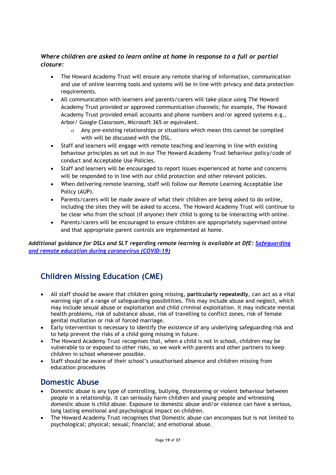### *Where children are asked to learn online at home in response to a full or partial closure:*

- The Howard Academy Trust will ensure any remote sharing of information, communication and use of online learning tools and systems will be in line with privacy and data protection requirements.
- All communication with learners and parents/carers will take place using The Howard Academy Trust provided or approved communication channels; for example, The Howard Academy Trust provided email accounts and phone numbers and/or agreed systems e.g., Arbor/ Google Classroom, Microsoft 365 or equivalent.
	- Any pre-existing relationships or situations which mean this cannot be complied with will be discussed with the DSL.
- Staff and learners will engage with remote teaching and learning in line with existing behaviour principles as set out in our The Howard Academy Trust behaviour policy/code of conduct and Acceptable Use Policies.
- Staff and learners will be encouraged to report issues experienced at home and concerns will be responded to in line with our child protection and other relevant policies.
- When delivering remote learning, staff will follow our Remote Learning Acceptable Use Policy (AUP).
- Parents/carers will be made aware of what their children are being asked to do online, including the sites they will be asked to access. The Howard Academy Trust will continue to be clear who from the school (if anyone) their child is going to be interacting with online.
- Parents/carers will be encouraged to ensure children are appropriately supervised online and that appropriate parent controls are implemented at home.

*Additional guidance for DSLs and SLT regarding remote learning is available at DfE: [Safeguarding](https://www.gov.uk/guidance/safeguarding-and-remote-education-during-coronavirus-covid-19)  [and remote education during coronavirus \(COVID-19\)](https://www.gov.uk/guidance/safeguarding-and-remote-education-during-coronavirus-covid-19)*

# <span id="page-18-0"></span>**Children Missing Education (CME)**

- All staff should be aware that children going missing, **particularly repeatedly**, can act as a vital warning sign of a range of safeguarding possibilities. This may include abuse and neglect, which may include sexual abuse or exploitation and child criminal exploitation. It may indicate mental health problems, risk of substance abuse, risk of travelling to conflict zones, risk of female genital mutilation or risk of forced marriage.
- Early intervention is necessary to identify the existence of any underlying safeguarding risk and to help prevent the risks of a child going missing in future.
- The Howard Academy Trust recognises that, when a child is not in school, children may be vulnerable to or exposed to other risks, so we work with parents and other partners to keep children in school whenever possible.
- Staff should be aware of their school's unauthorised absence and children missing from education procedures

### <span id="page-18-1"></span>**Domestic Abuse**

- Domestic abuse is any type of controlling, bullying, threatening or violent behaviour between people in a relationship. It can seriously harm children and young people and witnessing domestic abuse is child abuse. Exposure to domestic abuse and/or violence can have a serious, long lasting emotional and psychological impact on children.
- The Howard Academy Trust recognises that Domestic abuse can encompass but is not limited to psychological; physical; sexual; financial; and emotional abuse.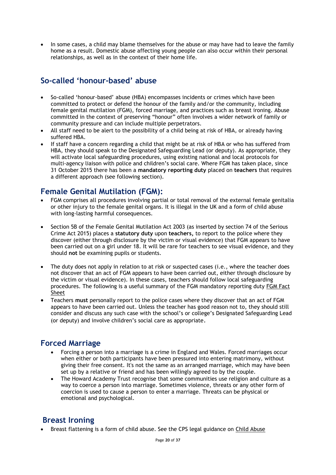• In some cases, a child may blame themselves for the abuse or may have had to leave the family home as a result. Domestic abuse affecting young people can also occur within their personal relationships, as well as in the context of their home life.

# <span id="page-19-0"></span>**So-called 'honour-based' abuse**

- So-called 'honour-based' abuse (HBA) encompasses incidents or crimes which have been committed to protect or defend the honour of the family and/or the community, including female genital mutilation (FGM), forced marriage, and practices such as breast ironing. Abuse committed in the context of preserving "honour" often involves a wider network of family or community pressure and can include multiple perpetrators.
- All staff need to be alert to the possibility of a child being at risk of HBA, or already having suffered HBA.
- If staff have a concern regarding a child that might be at risk of HBA or who has suffered from HBA, they should speak to the Designated Safeguarding Lead (or deputy). As appropriate, they will activate local safeguarding procedures, using existing national and local protocols for multi-agency liaison with police and children's social care. Where FGM has taken place, since 31 October 2015 there has been a **mandatory reporting duty** placed on **teachers** that requires a different approach (see following section).

### <span id="page-19-1"></span>**Female Genital Mutilation (FGM):**

- FGM comprises all procedures involving partial or total removal of the external female genitalia or other injury to the female genital organs. It is illegal in the UK and a form of child abuse with long-lasting harmful consequences.
- Section 5B of the Female Genital Mutilation Act 2003 (as inserted by section 74 of the Serious Crime Act 2015) places a **statutory duty** upon **teachers,** to report to the police where they discover (either through disclosure by the victim or visual evidence) that FGM appears to have been carried out on a girl under 18. It will be rare for teachers to see visual evidence, and they should **not** be examining pupils or students.
- The duty does not apply in relation to at risk or suspected cases (i.e., where the teacher does not discover that an act of FGM appears to have been carried out, either through disclosure by the victim or visual evidence). In these cases, teachers should follow local safeguarding procedures. The following is a useful summary of the FGM mandatory reporting duty [FGM Fact](https://assets.publishing.service.gov.uk/government/uploads/system/uploads/attachment_data/file/496415/6_1639_HO_SP_FGM_mandatory_reporting_Fact_sheet_Web.pdf)  [Sheet](https://assets.publishing.service.gov.uk/government/uploads/system/uploads/attachment_data/file/496415/6_1639_HO_SP_FGM_mandatory_reporting_Fact_sheet_Web.pdf)
- Teachers **must** personally report to the police cases where they discover that an act of FGM appears to have been carried out. Unless the teacher has good reason not to, they should still consider and discuss any such case with the school's or college's Designated Safeguarding Lead (or deputy) and involve children's social care as appropriate.

### <span id="page-19-2"></span>**Forced Marriage**

- Forcing a person into a marriage is a crime in England and Wales. Forced marriages occur when either or both participants have been pressured into entering matrimony, without giving their free consent. It's not the same as an arranged marriage, which may have been set up by a relative or friend and has been willingly agreed to by the couple.
- The Howard Academy Trust recognise that some communities use religion and culture as a way to coerce a person into marriage. Sometimes violence, threats or any other form of coercion is used to cause a person to enter a marriage. Threats can be physical or emotional and psychological.

### <span id="page-19-3"></span>**Breast Ironing**

• Breast flattening is a form of child abuse. See the CPS legal guidance on [Child Abuse](https://www.cps.gov.uk/node/5614)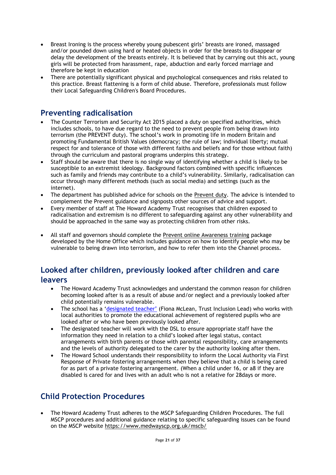- Breast Ironing is the process whereby young pubescent girls' breasts are ironed, massaged and/or pounded down using hard or heated objects in order for the breasts to disappear or delay the development of the breasts entirely. It is believed that by carrying out this act, young girls will be protected from harassment, rape, abduction and early forced marriage and therefore be kept in education
- There are potentially significant physical and psychological consequences and risks related to this practice. Breast flattening is a form of child abuse. Therefore, professionals must follow their Local Safeguarding Children's Board Procedures.

### <span id="page-20-0"></span>**Preventing radicalisation**

- The Counter Terrorism and Security Act 2015 placed a duty on specified authorities, which includes schools, to have due regard to the need to prevent people from being drawn into terrorism (the PREVENT duty). The school's work in promoting life in modern Britain and promoting Fundamental British Values (democracy; the rule of law; individual liberty; mutual respect for and tolerance of those with different faiths and beliefs and for those without faith) through the curriculum and pastoral programs underpins this strategy.
- Staff should be aware that there is no single way of identifying whether a child is likely to be susceptible to an extremist ideology. Background factors combined with specific influences such as family and friends may contribute to a child's vulnerability. Similarly, radicalisation can occur through many different methods (such as social media) and settings (such as the internet).
- The department has published advice for schools on the [Prevent duty.](https://www.gov.uk/government/publications/protecting-children-from-radicalisation-the-prevent-duty) The advice is intended to complement the Prevent guidance and signposts other sources of advice and support.
- Every member of staff at The Howard Academy Trust recognises that children exposed to radicalisation and extremism is no different to safeguarding against any other vulnerability and should be approached in the same way as protecting children from other risks.
- All staff and governors should complete the [Prevent online Awareness training](https://www.elearning.prevent.homeoffice.gov.uk/la2/screen1.html) package developed by the Home Office which includes guidance on how to identify people who may be vulnerable to being drawn into terrorism, and how to refer them into the Channel process.

### <span id="page-20-1"></span>**Looked after children, previously looked after children and care leavers**

- The Howard Academy Trust acknowledges and understand the common reason for children becoming looked after is as a result of abuse and/or neglect and a previously looked after child potentially remains vulnerable.
- The school has a 'desig[nated teacher'](https://www.gov.uk/government/publications/designated-teacher-for-looked-after-children) (Fiona McLean, Trust Inclusion Lead) who works with local authorities to promote the educational achievement of registered pupils who are looked after or who have been previously looked after.
- The designated teacher will work with the DSL to ensure appropriate staff have the information they need in relation to a child's looked after legal status, contact arrangements with birth parents or those with parental responsibility, care arrangements and the levels of authority delegated to the carer by the authority looking after them.
- The Howard School understands their responsibility to inform the Local Authority via First Response of Private fostering arrangements when they believe that a child is being cared for as part of a private fostering arrangement. (When a child under 16, or a8 if they are disabled is cared for and lives with an adult who is not a relative for 28days or more.

# <span id="page-20-2"></span>**Child Protection Procedures**

• The Howard Academy Trust adheres to the MSCP Safeguarding Children Procedures. The full MSCP procedures and additional guidance relating to specific safeguarding issues can be found on the MSCP website<https://www.medwayscp.org.uk/mscb/>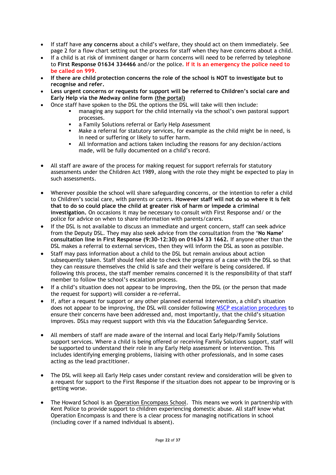- If staff have **any concerns** about a child's welfare, they should act on them immediately. See page 2 for a flow chart setting out the process for staff when they have concerns about a child.
- If a child is at risk of imminent danger or harm concerns will need to be referred by telephone to **First Response 01634 334466** and/or the police. **If it is an emergency the police need to be called on 999.**
- **If there are child protection concerns the role of the school is NOT to investigate but to recognise and refer.**
- **Less urgent concerns or requests for support will be referred to Children's social care and Early Help via the Medway online form [\(the portal\)](https://www.medway.gov.uk/info/200170/children_and_families/600/worried_about_a_child/1)**
- Once staff have spoken to the DSL the options the DSL will take will then include:
	- managing any support for the child internally via the school's own pastoral support processes.
	- a Family Solutions referral or Early Help Assessment
	- Make a referral for statutory services, for example as the child might be in need, is in need or suffering or likely to suffer harm.
	- All information and actions taken including the reasons for any decision/actions made, will be fully documented on a child's record.
- All staff are aware of the process for making request for support referrals for statutory assessments under the Children Act 1989, along with the role they might be expected to play in such assessments.
- Wherever possible the school will share safeguarding concerns, or the intention to refer a child to Children's social care, with parents or carers. **However staff will not do so where it is felt that to do so could place the child at greater risk of harm or impede a criminal investigation.** On occasions it may be necessary to consult with First Response and/ or the police for advice on when to share information with parents/carers.
- If the DSL is not available to discuss an immediate and urgent concern, staff can seek advice from the Deputy DSL. They may also seek advice from the consultation from the **'No Name' consultation line in First Response (9:30-12:30) on 01634 33 1662.** If anyone other than the DSL makes a referral to external services, then they will inform the DSL as soon as possible.
- Staff may pass information about a child to the DSL but remain anxious about action subsequently taken. Staff should feel able to check the progress of a case with the DSL so that they can reassure themselves the child is safe and their welfare is being considered. If following this process, the staff member remains concerned it is the responsibility of that staff member to follow the school's escalation process.
- If a child's situation does not appear to be improving, then the DSL (or the person that made the request for support) will consider a re-referral.
- If, after a request for support or any other planned external intervention, a child's situation does not appear to be improving, the DSL will consider following [MSCP escalation procedures](https://www.medway.gov.uk/mscb/downloads/download/19/mscbs-policies-and-procedures) to ensure their concerns have been addressed and, most importantly, that the child's situation improves. DSLs may request support with this via the Education Safeguarding Service.
- All members of staff are made aware of the internal and local Early Help/Family Solutions support services. Where a child is being offered or receiving Family Solutions support, staff will be supported to understand their role in any Early Help assessment or intervention. This includes identifying emerging problems, liaising with other professionals, and in some cases acting as the lead practitioner.
- The DSL will keep all Early Help cases under constant review and consideration will be given to a request for support to the First Response if the situation does not appear to be improving or is getting worse.
- The Howard School is an [Operation Encompass School.](https://www.operationencompass.org/) This means we work in partnership with Kent Police to provide support to children experiencing domestic abuse. All staff know what Operation Encompass is and there is a clear process for managing notifications in school (including cover if a named individual is absent).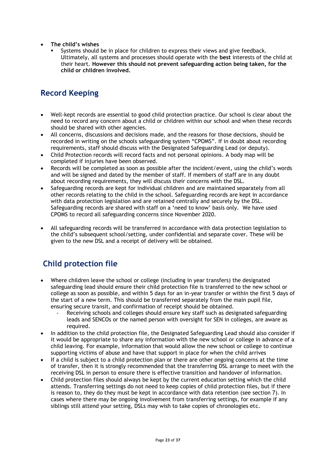- **The child's wishes** 
	- Systems should be in place for children to express their views and give feedback. Ultimately, all systems and processes should operate with the **best** interests of the child at their heart. **However this should not prevent safeguarding action being taken, for the child or children involved.**

# <span id="page-22-0"></span>**Record Keeping**

- Well-kept records are essential to good child protection practice. Our school is clear about the need to record any concern about a child or children within our school and when these records should be shared with other agencies.
- All concerns, discussions and decisions made, and the reasons for those decisions, should be recorded in writing on the schools safeguarding system "CPOMS". If in doubt about recording requirements, staff should discuss with the Designated Safeguarding Lead (or deputy).
- Child Protection records will record facts and not personal opinions. A body map will be completed if injuries have been observed.
- Records will be completed as soon as possible after the incident/event, using the child's words and will be signed and dated by the member of staff. If members of staff are in any doubt about recording requirements, they will discuss their concerns with the DSL.
- Safeguarding records are kept for individual children and are maintained separately from all other records relating to the child in the school. Safeguarding records are kept in accordance with data protection legislation and are retained centrally and securely by the DSL. Safeguarding records are shared with staff on a 'need to know' basis only. We have used CPOMS to record all safeguarding concerns since November 2020.
- All safeguarding records will be transferred in accordance with data protection legislation to the child's subsequent school/setting, under confidential and separate cover. These will be given to the new DSL and a receipt of delivery will be obtained.

# <span id="page-22-1"></span>**Child protection file**

- Where children leave the school or college (including in year transfers) the designated safeguarding lead should ensure their child protection file is transferred to the new school or college as soon as possible, and within 5 days for an in-year transfer or within the first 5 days of the start of a new term. This should be transferred separately from the main pupil file, ensuring secure transit, and confirmation of receipt should be obtained.
	- Receiving schools and colleges should ensure key staff such as designated safeguarding leads and SENCOs or the named person with oversight for SEN in colleges, are aware as required.
- In addition to the child protection file, the Designated Safeguarding Lead should also consider if it would be appropriate to share any information with the new school or college in advance of a child leaving. For example, information that would allow the new school or college to continue supporting victims of abuse and have that support in place for when the child arrives
- If a child is subject to a child protection plan or there are other ongoing concerns at the time of transfer, then it is strongly recommended that the transferring DSL arrange to meet with the receiving DSL in person to ensure there is effective transition and handover of information.
- Child protection files should always be kept by the current education setting which the child attends. Transferring settings do not need to keep copies of child protection files, but if there is reason to, they do they must be kept in accordance with data retention (see section 7). In cases where there may be ongoing involvement from transferring settings, for example if any siblings still attend your setting, DSLs may wish to take copies of chronologies etc.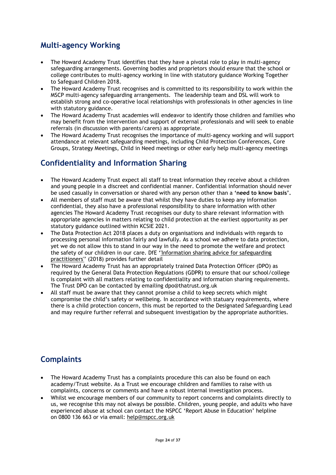# <span id="page-23-0"></span>**Multi-agency Working**

- The Howard Academy Trust identifies that they have a pivotal role to play in multi-agency safeguarding arrangements. Governing bodies and proprietors should ensure that the school or college contributes to multi-agency working in line with statutory guidance Working Together to Safeguard Children 2018.
- The Howard Academy Trust recognises and is committed to its responsibility to work within the MSCP multi-agency safeguarding arrangements. The leadership team and DSL will work to establish strong and co-operative local relationships with professionals in other agencies in line with statutory guidance.
- The Howard Academy Trust academies will endeavor to identify those children and families who may benefit from the intervention and support of external professionals and will seek to enable referrals (in discussion with parents/carers) as appropriate.
- The Howard Academy Trust recognises the importance of multi-agency working and will support attendance at relevant safeguarding meetings, including Child Protection Conferences, Core Groups, Strategy Meetings, Child in Need meetings or other early help multi-agency meetings

# <span id="page-23-1"></span>**Confidentiality and Information Sharing**

- The Howard Academy Trust expect all staff to treat information they receive about a children and young people in a discreet and confidential manner. Confidential information should never be used casually in conversation or shared with any person other than a **'need to know basis'.**
- All members of staff must be aware that whilst they have duties to keep any information confidential, they also have a professional responsibility to share information with other agencies The Howard Academy Trust recognises our duty to share relevant information with appropriate agencies in matters relating to child protection at the earliest opportunity as per statutory guidance outlined within KCSIE 2021.
- The Data Protection Act 2018 places a duty on organisations and individuals with regards to processing personal information fairly and lawfully. As a school we adhere to data protection, yet we do not allow this to stand in our way in the need to promote the welfare and protect the safety of our children in our care. DfE '['Information sharing advice for safeguarding](https://www.gov.uk/government/publications/safeguarding-practitioners-information-sharing-advice)  [practitioners'](https://www.gov.uk/government/publications/safeguarding-practitioners-information-sharing-advice)' (2018) provides further detail
- The Howard Academy Trust has an appropriately trained Data Protection Officer (DPO) as required by the General Data Protection Regulations (GDPR) to ensure that our school/college is complaint with all matters relating to confidentiality and information sharing requirements. The Trust DPO can be contacted by emailing dpo@thatrust.org.uk
- All staff must be aware that they cannot promise a child to keep secrets which might compromise the child's safety or wellbeing. In accordance with statuary requirements, where there is a child protection concern, this must be reported to the Designated Safeguarding Lead and may require further referral and subsequent investigation by the appropriate authorities.

# <span id="page-23-2"></span>**Complaints**

- The Howard Academy Trust has a complaints procedure this can also be found on each academy/Trust website. As a Trust we encourage children and families to raise with us complaints, concerns or comments and have a robust internal investigation process.
- Whilst we encourage members of our community to report concerns and complaints directly to us, we recognise this may not always be possible. Children, young people, and adults who have experienced abuse at school can contact the NSPCC 'Report Abuse in Education' helpline on [0800 136 663](tel:0800%20136%20663) or via email: [help@nspcc.org.uk](mailto:help@nspcc.org.uk)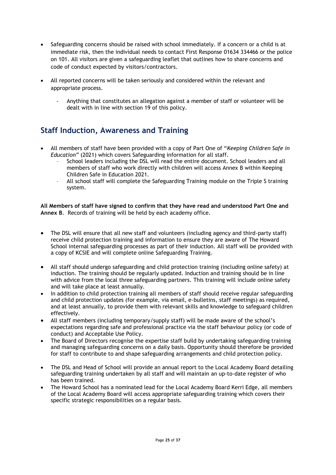- Safeguarding concerns should be raised with school immediately. If a concern or a child is at immediate risk, then the individual needs to contact First Response 01634 334466 or the police on 101. All visitors are given a safeguarding leaflet that outlines how to share concerns and code of conduct expected by visitors/contractors.
- All reported concerns will be taken seriously and considered within the relevant and appropriate process.
	- Anything that constitutes an allegation against a member of staff or volunteer will be dealt with in line with section 19 of this policy.

### <span id="page-24-0"></span>**Staff Induction, Awareness and Training**

- All members of staff have been provided with a copy of Part One of "*Keeping Children Safe in Education"* (2021) which covers Safeguarding information for all staff.
	- School leaders including the DSL will read the entire document. School leaders and all members of staff who work directly with children will access Annex B within Keeping Children Safe in Education 2021.
	- All school staff will complete the Safeguarding Training module on the Triple S training system.

**All Members of staff have signed to confirm that they have read and understood Part One and Annex B**. Records of training will be held by each academy office.

- The DSL will ensure that all new staff and volunteers (including agency and third-party staff) receive child protection training and information to ensure they are aware of The Howard School internal safeguarding processes as part of their induction. All staff will be provided with a copy of KCSIE and will complete online Safeguarding Training.
- All staff should undergo safeguarding and child protection training (including online safety) at induction. The training should be regularly updated. Induction and training should be in line with advice from the local three safeguarding partners. This training will include online safety and will take place at least annually.
- In addition to child protection training all members of staff should receive regular safeguarding and child protection updates (for example, via email, e-bulletins, staff meetings) as required, and at least annually, to provide them with relevant skills and knowledge to safeguard children effectively.
- All staff members (including temporary/supply staff) will be made aware of the school's expectations regarding safe and professional practice via the staff behaviour policy (or code of conduct) and Acceptable Use Policy.
- The Board of Directors recognise the expertise staff build by undertaking safeguarding training and managing safeguarding concerns on a daily basis. Opportunity should therefore be provided for staff to contribute to and shape safeguarding arrangements and child protection policy.
- The DSL and Head of School will provide an annual report to the Local Academy Board detailing safeguarding training undertaken by all staff and will maintain an up-to-date register of who has been trained.
- The Howard School has a nominated lead for the Local Academy Board Kerri Edge, all members of the Local Academy Board will access appropriate safeguarding training which covers their specific strategic responsibilities on a regular basis.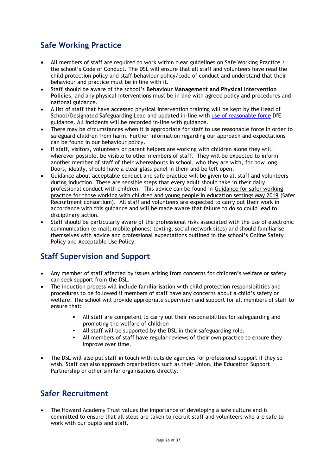# <span id="page-25-0"></span>**Safe Working Practice**

- All members of staff are required to work within clear guidelines on Safe Working Practice / the school's Code of Conduct. The DSL will ensure that all staff and volunteers have read the child protection policy and staff behaviour policy/code of conduct and understand that their behaviour and practice must be in line with it.
- Staff should be aware of the school's **Behaviour Management and Physical Intervention Policies***,* and any physical interventions must be in line with agreed policy and procedures and national guidance.
- A list of staff that have accessed physical intervention training will be kept by the Head of School/Designated Safeguarding Lead and updated in-line with [use of reasonable force](https://www.gov.uk/government/publications/use-of-reasonable-force-in-schools) DfE guidance. All incidents will be recorded in-line with guidance.
- There may be circumstances when it is appropriate for staff to use reasonable force in order to safeguard children from harm. Further information regarding our approach and expectations can be found in our behaviour policy.
- If staff, visitors, volunteers or parent helpers are working with children alone they will, wherever possible, be visible to other members of staff. They will be expected to inform another member of staff of their whereabouts in school, who they are with, for how long. Doors, ideally, should have a clear glass panel in them and be left open.
- Guidance about acceptable conduct and safe practice will be given to all staff and volunteers during induction. These are sensible steps that every adult should take in their daily professional conduct with children. This advice can be found in [Guidance for safer working](https://www.saferrecruitmentconsortium.org/GSWP%20Sept%202019.pdf)  [practice for those working with children and young people in education settings May 2019](https://www.saferrecruitmentconsortium.org/GSWP%20Sept%202019.pdf) (Safer Recruitment consortium). All staff and volunteers are expected to carry out their work in accordance with this guidance and will be made aware that failure to do so could lead to disciplinary action.
- Staff should be particularly aware of the professional risks associated with the use of electronic communication (e-mail; mobile phones; texting; social network sites) and should familiarise themselves with advice and professional expectations outlined in the school's Online Safety Policy and Acceptable Use Policy.

# <span id="page-25-1"></span>**Staff Supervision and Support**

- Any member of staff affected by issues arising from concerns for children's welfare or safety can seek support from the DSL.
- The induction process will include familiarisation with child protection responsibilities and procedures to be followed if members of staff have any concerns about a child's safety or welfare. The school will provide appropriate supervision and support for all members of staff to ensure that:
	- All staff are competent to carry out their responsibilities for safeguarding and promoting the welfare of children
	- All staff will be supported by the DSL in their safeguarding role.
	- All members of staff have regular reviews of their own practice to ensure they improve over time.
- The DSL will also put staff in touch with outside agencies for professional support if they so wish. Staff can also approach organisations such as their Union, the Education Support Partnership or other similar organisations directly.

# <span id="page-25-2"></span>**Safer Recruitment**

• The Howard Academy Trust values the importance of developing a safe culture and is committed to ensure that all steps are taken to recruit staff and volunteers who are safe to work with our pupils and staff.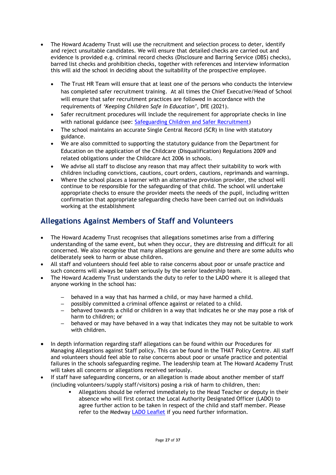- The Howard Academy Trust will use the recruitment and selection process to deter, identify and reject unsuitable candidates. We will ensure that detailed checks are carried out and evidence is provided e.g. criminal record checks (Disclosure and Barring Service (DBS) checks), barred list checks and prohibition checks, together with references and interview information this will aid the school in deciding about the suitability of the prospective employee.
	- The Trust HR Team will ensure that at least one of the persons who conducts the interview has completed safer recruitment training. At all times the Chief Executive/Head of School will ensure that safer recruitment practices are followed in accordance with the requirements of *'Keeping Children Safe in Education'*, DfE (2021).
	- Safer recruitment procedures will include the requirement for appropriate checks in line with national guidance (see: [Safeguarding Children and Safer Recruitment\)](https://www.gov.uk/government/publications/safeguarding-children-and-safer-recruitment-in-education/safeguarding-children-and-safer-recruitment-in-education)
	- The school maintains an accurate Single Central Record (SCR) in line with statutory guidance.
	- We are also committed to supporting the statutory guidance from the Department for Education on the application of the Childcare (Disqualification) Regulations 2009 and related obligations under the Childcare Act 2006 in schools.
	- We advise all staff to disclose any reason that may affect their suitability to work with children including convictions, cautions, court orders, cautions, reprimands and warnings.
	- Where the school places a learner with an alternative provision provider, the school will continue to be responsible for the safeguarding of that child. The school will undertake appropriate checks to ensure the provider meets the needs of the pupil, including written confirmation that appropriate safeguarding checks have been carried out on individuals working at the establishment

### <span id="page-26-0"></span>**Allegations Against Members of Staff and Volunteers**

- The Howard Academy Trust recognises that allegations sometimes arise from a differing understanding of the same event, but when they occur, they are distressing and difficult for all concerned. We also recognise that many allegations are genuine and there are some adults who deliberately seek to harm or abuse children.
- All staff and volunteers should feel able to raise concerns about poor or unsafe practice and such concerns will always be taken seriously by the senior leadership team.
- The Howard Academy Trust understands the duty to refer to the LADO where it is alleged that anyone working in the school has:
	- behaved in a way that has harmed a child, or may have harmed a child.
	- possibly committed a criminal offence against or related to a child.
	- behaved towards a child or children in a way that indicates he or she may pose a risk of harm to children; or
	- behaved or may have behaved in a way that indicates they may not be suitable to work with children.
- In depth information regarding staff allegations can be found within our Procedures for Managing Allegations against Staff policy**.** This can be found in the THAT Policy Centre. All staff and volunteers should feel able to raise concerns about poor or unsafe practice and potential failures in the schools safeguarding regime. The leadership team at The Howard Academy Trust will takes all concerns or allegations received seriously.
- If staff have safeguarding concerns, or an allegation is made about another member of staff (including volunteers/supply staff/visitors) posing a risk of harm to children, then:
	- Allegations should be referred immediately to the Head Teacher or deputy in their absence who will first contact the Local Authority Designated Officer (LADO) to agree further action to be taken in respect of the child and staff member. Please refer to the Medway [LADO Leaflet](https://www.medwayscp.org.uk/mscb/downloads/file/15/local-authority-designated-officer-leaflet) if you need further information.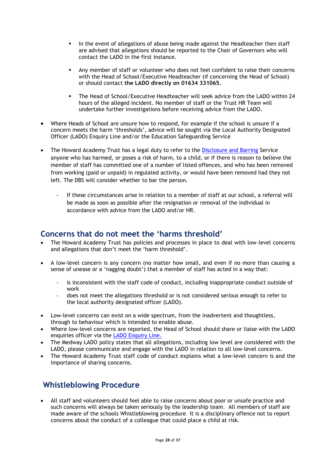- In the event of allegations of abuse being made against the Headteacher then staff are advised that allegations should be reported to the Chair of Governors who will contact the LADO in the first instance.
- Any member of staff or volunteer who does not feel confident to raise their concerns with the Head of School/Executive Headteacher (if concerning the Head of School) or should contact **the LADO directly on 01634 331065.**
- The Head of School/Executive Headteacher will seek advice from the LADO within 24 hours of the alleged incident. No member of staff or the Trust HR Team will undertake further investigations before receiving advice from the LADO.
- Where Heads of School are unsure how to respond, for example if the school is unsure if a concern meets the harm 'thresholds', advice will be sought via the Local Authority Designated Officer (LADO) Enquiry Line and/or the Education Safeguarding Service
- The Howard Academy Trust has a legal duty to refer to the [Disclosure and Barring](https://www.gov.uk/government/organisations/disclosure-and-barring-service) Service anyone who has harmed, or poses a risk of harm, to a child, or if there is reason to believe the member of staff has committed one of a number of listed offences, and who has been removed from working (paid or unpaid) in regulated activity, or would have been removed had they not left. The DBS will consider whether to bar the person.
	- If these circumstances arise in relation to a member of staff at our school, a referral will be made as soon as possible after the resignation or removal of the individual in accordance with advice from the LADO and/or HR.

### <span id="page-27-0"></span>**Concerns that do not meet the 'harms threshold'**

- The Howard Academy Trust has policies and processes in place to deal with low-level concerns and allegations that don't meet the 'harm threshold'.
- A low-level concern is any concern (no matter how small, and even if no more than causing a sense of unease or a 'nagging doubt') that a member of staff has acted in a way that:
	- is inconsistent with the staff code of conduct, including inappropriate conduct outside of work
	- does not meet the allegations threshold or is not considered serious enough to refer to the local authority designated officer (LADO).
- Low-level concerns can exist on a wide spectrum, from the inadvertent and thoughtless, through to behaviour which is intended to enable abuse.
- Where low-level concerns are reported, the Head of School should share or liaise with the LADO enquiries officer via the [LADO Enquiry Line.](https://www.medway.gov.uk/mscb/info/4/advice-resources-professionals/2/concerned-childcare-professional)
- The Medway LADO policy states that all allegations, including low level are considered with the LADO, please communicate and engage with the LADO in relation to all low-level concerns.
- The Howard Academy Trust staff code of conduct explains what a low-level concern is and the importance of sharing concerns.

# <span id="page-27-1"></span>**Whistleblowing Procedure**

• All staff and volunteers should feel able to raise concerns about poor or unsafe practice and such concerns will always be taken seriously by the leadership team. All members of staff are made aware of the schools Whistleblowing procedure. It is a disciplinary offence not to report concerns about the conduct of a colleague that could place a child at risk.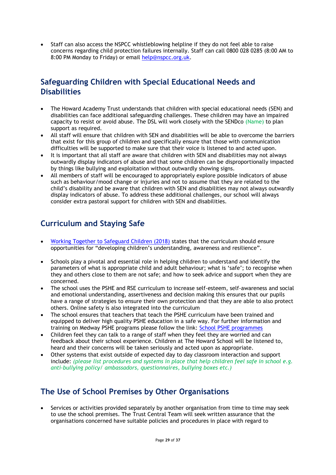• Staff can also access the NSPCC whistleblowing helpline if they do not feel able to raise concerns regarding child protection failures internally. Staff can call 0800 028 0285 (8:00 AM to 8:00 PM Monday to Friday) or email [help@nspcc.org.uk.](mailto:help@nspcc.org.uk)

# <span id="page-28-0"></span>**Safeguarding Children with Special Educational Needs and Disabilities**

- The Howard Academy Trust understands that children with special educational needs (SEN) and disabilities can face additional safeguarding challenges. These children may have an impaired capacity to resist or avoid abuse. The DSL will work closely with the SENDco (Name) to plan support as required.
- All staff will ensure that children with SEN and disabilities will be able to overcome the barriers that exist for this group of children and specifically ensure that those with communication difficulties will be supported to make sure that their voice is listened to and acted upon.
- It is important that all staff are aware that children with SEN and disabilities may not always outwardly display indicators of abuse and that some children can be disproportionally impacted by things like bullying and exploitation without outwardly showing signs.
- All members of staff will be encouraged to appropriately explore possible indicators of abuse such as behaviour/mood change or injuries and not to assume that they are related to the child's disability and be aware that children with SEN and disabilities may not always outwardly display indicators of abuse. To address these additional challenges, our school will always consider extra pastoral support for children with SEN and disabilities.

# <span id="page-28-1"></span>**Curriculum and Staying Safe**

- [Working Together to Safeguard Children \(2018\)](https://www.gov.uk/government/publications/working-together-to-safeguard-children--2) states that the curriculum should ensure opportunities for "developing children's understanding, awareness and resilience".
- Schools play a pivotal and essential role in helping children to understand and identify the parameters of what is appropriate child and adult behaviour; what is 'safe'; to recognise when they and others close to them are not safe; and how to seek advice and support when they are concerned.
- The school uses the PSHE and RSE curriculum to increase self-esteem, self-awareness and social and emotional understanding, assertiveness and decision making this ensures that our pupils have a range of strategies to ensure their own protection and that they are able to also protect others. Online safety is also integrated into the curriculum
- The school ensures that teachers that teach the PSHE curriculum have been trained and equipped to deliver high quality PSHE education in a safe way. For further information and training on Medway PSHE programs please follow the link: [School PSHE programmes](https://www.medway.gov.uk/info/200221/a_better_medway/440/school_programmes/1)
- Children feel they can talk to a range of staff when they feel they are worried and can feedback about their school experience. Children at The Howard School will be listened to, heard and their concerns will be taken seriously and acted upon as appropriate.
- Other systems that exist outside of expected day to day classroom interaction and support include: *(please list procedures and systems in place that help children feel safe in school e.g. anti-bullying policy/ ambassadors, questionnaires, bullying boxes etc.)*

# <span id="page-28-2"></span>**The Use of School Premises by Other Organisations**

• Services or activities provided separately by another organisation from time to time may seek to use the school premises. The Trust Central Team will seek written assurance that the organisations concerned have suitable policies and procedures in place with regard to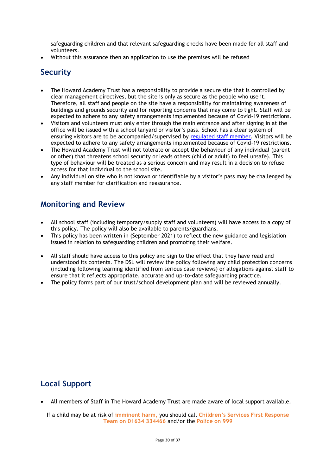safeguarding children and that relevant safeguarding checks have been made for all staff and volunteers.

<span id="page-29-0"></span>• Without this assurance then an application to use the premises will be refused

# **Security**

- The Howard Academy Trust has a responsibility to provide a secure site that is controlled by clear management directives, but the site is only as secure as the people who use it. Therefore, all staff and people on the site have a responsibility for maintaining awareness of buildings and grounds security and for reporting concerns that may come to light. Staff will be expected to adhere to any safety arrangements implemented because of Covid-19 restrictions.
- Visitors and volunteers must only enter through the main entrance and after signing in at the office will be issued with a school lanyard or visitor's pass. School has a clear system of ensuring visitors are to be accompanied/supervised by [regulated staff member.](https://www.gov.uk/government/uploads/system/uploads/attachment_data/file/550197/Regulated_activity_in_relation_to_children.pdf) Visitors will be expected to adhere to any safety arrangements implemented because of Covid-19 restrictions.
- The Howard Academy Trust will not tolerate or accept the behaviour of any individual (parent or other) that threatens school security or leads others (child or adult) to feel unsafe). This type of behaviour will be treated as a serious concern and may result in a decision to refuse access for that individual to the school site**.**
- Any individual on site who is not known or identifiable by a visitor's pass may be challenged by any staff member for clarification and reassurance.

### <span id="page-29-1"></span>**Monitoring and Review**

- All school staff (including temporary/supply staff and volunteers) will have access to a copy of this policy. The policy will also be available to parents/guardians.
- This policy has been written in (September 2021) to reflect the new guidance and legislation issued in relation to safeguarding children and promoting their welfare.
- All staff should have access to this policy and sign to the effect that they have read and understood its contents. The DSL will review the policy following any child protection concerns (including following learning identified from serious case reviews) or allegations against staff to ensure that it reflects appropriate, accurate and up-to-date safeguarding practice.
- The policy forms part of our trust/school development plan and will be reviewed annually.

# <span id="page-29-2"></span>**Local Support**

• All members of Staff in The Howard Academy Trust are made aware of local support available.

If a child may be at risk of **imminent harm,** you should call **Children's Services First Response Team on 01634 334466** and/or the **Police on 999**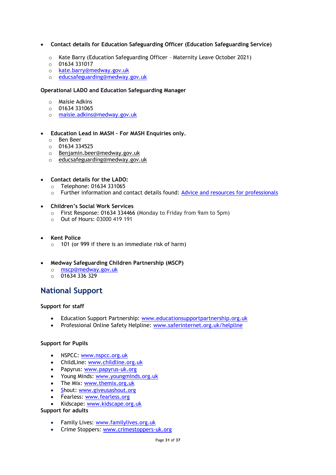- **Contact details for Education Safeguarding Officer (Education Safeguarding Service)**
	- o Kate Barry (Education Safeguarding Officer Maternity Leave October 2021)
	- o 01634 331017
	- o [kate.barry@medway.gov.uk](mailto:kate.barry@medway.gov.uk)
	- o [educsafeguarding@medway.gov.uk](mailto:educsafeguarding@medway.gov.uk)

#### **Operational LADO and Education Safeguarding Manager**

- o Maisie Adkins
- $O$  01634 331065
- o [maisie.adkins@medway.gov.uk](mailto:maisie.adkins@medway.gov.uk)
- **Education Lead in MASH – For MASH Enquiries only.**
	- o Ben Beer
	- o 01634 334525
	- o [Benjamin.beer@medway.gov.uk](mailto:Benjamin.beer@medway.gov.uk)
	- o [educsafeguarding@medway.gov.uk](mailto:educsafeguarding@medway.gov.uk)
- **Contact details for the LADO:**
	- o Telephone: 01634 331065
	- $\circ$  Further information and contact details found: [Advice and resources for professionals](https://www.medway.gov.uk/mscb/info/4/advice-resources-professionals/2/concerned-childcare-professional)
- **Children's Social Work Services**
	- o First Response: 01634 334466 (Monday to Friday from 9am to 5pm)
	- o Out of Hours: 03000 419 191
- **Kent Police**  $\circ$  101 (or 999 if there is an immediate risk of harm)
- **Medway Safeguarding Children Partnership (MSCP)**
	- o [mscp@medway.gov.uk](mailto:mscp@medway.gov.uk)
	- $\degree$  01634 336 329

### <span id="page-30-0"></span>**National Support**

#### **Support for staff**

- Education Support Partnership: [www.educationsupportpartnership.org.uk](http://www.educationsupportpartnership.org.uk/)
- Professional Online Safety Helpline: [www.saferinternet.org.uk/helpline](http://www.saferinternet.org.uk/helpline)

#### **Support for Pupils**

- NSPCC: [www.nspcc.org.uk](http://www.nspcc.org.uk/)
- ChildLine: [www.childline.org.uk](http://www.childline.org.uk/)
- Papyrus: [www.papyrus-uk.org](http://www.papyrus-uk.org/)
- Young Minds: [www.youngminds.org.uk](http://www.youngminds.org.uk/)
- The Mix: [www.themix.org.uk](http://www.themix.org.uk/)
- Shout: [www.giveusashout.org](http://www.giveusashout.org/)
- Fearless: [www.fearless.org](http://www.fearless.org/)
- Kidscape: [www.kidscape.org.uk](http://www.kidscape.org.uk/)

### **Support for adults**

- Family Lives: [www.familylives.org.uk](http://www.familylives.org.uk/)
- Crime Stoppers: [www.crimestoppers-uk.org](http://www.crimestoppers-uk.org/)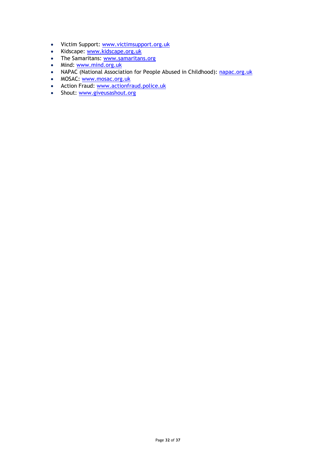- Victim Support: [www.victimsupport.org.uk](http://www.victimsupport.org.uk/)
- Kidscape: [www.kidscape.org.uk](http://www.kidscape.org.uk/)
- The Samaritans: [www.samaritans.org](http://www.samaritans.org/)
- Mind: [www.mind.org.uk](http://www.mind.org.uk/)
- NAPAC (National Association for People Abused in Childhood): [napac.org.uk](https://napac.org.uk/)
- MOSAC: [www.mosac.org.uk](http://www.mosac.org.uk/)
- Action Fraud: [www.actionfraud.police.uk](http://www.actionfraud.police.uk/)
- Shout: [www.giveusashout.org](http://www.giveusashout.org/)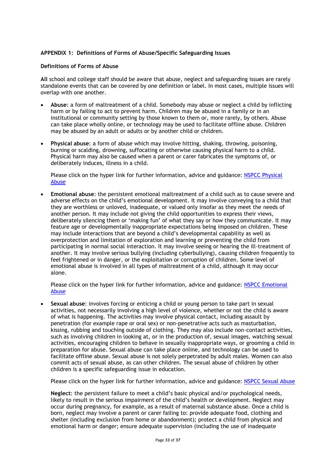#### **APPENDIX 1: Definitions of Forms of Abuse/Specific Safeguarding Issues**

#### **Definitions of Forms of Abuse**

**All** school and college staff should be aware that abuse, neglect and safeguarding issues are rarely standalone events that can be covered by one definition or label. In most cases, multiple issues will overlap with one another.

- **Abuse**: a form of maltreatment of a child. Somebody may abuse or neglect a child by inflicting harm or by failing to act to prevent harm. Children may be abused in a family or in an institutional or community setting by those known to them or, more rarely, by others. Abuse can take place wholly online, or technology may be used to facilitate offline abuse. Children may be abused by an adult or adults or by another child or children.
- **Physical abuse**: a form of abuse which may involve hitting, shaking, throwing, poisoning, burning or scalding, drowning, suffocating or otherwise causing physical harm to a child. Physical harm may also be caused when a parent or carer fabricates the symptoms of, or deliberately induces, illness in a child.

Please click on the hyper link for further information, advice and guidance: [NSPCC Physical](https://learning.nspcc.org.uk/child-abuse-and-neglect/physical-abuse)  [Abuse](https://learning.nspcc.org.uk/child-abuse-and-neglect/physical-abuse)

• **Emotional abuse**: the persistent emotional maltreatment of a child such as to cause severe and adverse effects on the child's emotional development. It may involve conveying to a child that they are worthless or unloved, inadequate, or valued only insofar as they meet the needs of another person. It may include not giving the child opportunities to express their views, deliberately silencing them or 'making fun' of what they say or how they communicate. It may feature age or developmentally inappropriate expectations being imposed on children. These may include interactions that are beyond a child's developmental capability as well as overprotection and limitation of exploration and learning or preventing the child from participating in normal social interaction. It may involve seeing or hearing the ill-treatment of another. It may involve serious bullying (including cyberbullying), causing children frequently to feel frightened or in danger, or the exploitation or corruption of children. Some level of emotional abuse is involved in all types of maltreatment of a child, although it may occur alone.

Please click on the hyper link for further information, advice and guidance: [NSPCC Emotional](https://learning.nspcc.org.uk/child-abuse-and-neglect/emotional-abuse)  [Abuse](https://learning.nspcc.org.uk/child-abuse-and-neglect/emotional-abuse) 

• **Sexual abuse**: involves forcing or enticing a child or young person to take part in sexual activities, not necessarily involving a high level of violence, whether or not the child is aware of what is happening. The activities may involve physical contact, including assault by penetration (for example rape or oral sex) or non-penetrative acts such as masturbation, kissing, rubbing and touching outside of clothing. They may also include non-contact activities, such as involving children in looking at, or in the production of, sexual images, watching sexual activities, encouraging children to behave in sexually inappropriate ways, or grooming a child in preparation for abuse. Sexual abuse can take place online, and technology can be used to facilitate offline abuse. Sexual abuse is not solely perpetrated by adult males. Women can also commit acts of sexual abuse, as can other children. The sexual abuse of children by other children is a specific safeguarding issue in education.

Please click on the hyper link for further information, advice and guidance: [NSPCC Sexual Abuse](https://learning.nspcc.org.uk/child-abuse-and-neglect/child-sexual-abuse)

**Neglect**: the persistent failure to meet a child's basic physical and/or psychological needs, likely to result in the serious impairment of the child's health or development. Neglect may occur during pregnancy, for example, as a result of maternal substance abuse. Once a child is born, neglect may involve a parent or carer failing to: provide adequate food, clothing and shelter (including exclusion from home or abandonment); protect a child from physical and emotional harm or danger; ensure adequate supervision (including the use of inadequate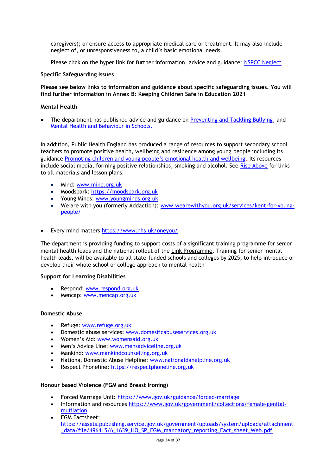caregivers); or ensure access to appropriate medical care or treatment. It may also include neglect of, or unresponsiveness to, a child's basic emotional needs.

Please click on the hyper link for further information, advice and guidance: NSPCC Neglect

#### **Specific Safeguarding Issues**

**Please see below links to information and guidance about specific safeguarding issues. You will find further information in Annex B: Keeping Children Safe in Education 2021**

#### **Mental Health**

The department has published advice and guidance on [Preventing and Tackling Bullying,](https://assets.publishing.service.gov.uk/government/uploads/system/uploads/attachment_data/file/623895/Preventing_and_tackling_bullying_advice.pdf) and [Mental Health and Behaviour in Schools.](https://www.gov.uk/government/publications/mental-health-and-behaviour-in-schools--2)

In addition, Public Health England has produced a range of resources to support secondary school teachers to promote positive health, wellbeing and resilience among young people including its guidance [Promoting children and young people's emotional health and wellbeing](https://www.gov.uk/government/publications/promoting-children-and-young-peoples-emotional-health-and-wellbeing). Its resources include social media, forming positive relationships, smoking and alcohol. See [Rise Above](https://campaignresources.phe.gov.uk/schools/topics/rise-above/overview) for links to all materials and lesson plans.

- Mind: [www.mind.org.uk](http://www.mind.org.uk/)
- Moodspark: [https://moodspark.org.uk](https://moodspark.org.uk/)
- Young Minds: [www.youngminds.org.uk](http://www.youngminds.org.uk/)
- We are with you (formerly Addaction): [www.wearewithyou.org.uk/services/kent-for-young](http://www.wearewithyou.org.uk/services/kent-for-young-people/)[people/](http://www.wearewithyou.org.uk/services/kent-for-young-people/)
- Every mind matters<https://www.nhs.uk/oneyou/>

The department is providing funding to support costs of a significant training programme for senior mental health leads and the national rollout of the [Link Programme.](https://www.annafreud.org/what-we-do/schools-in-mind/our-work-with-schools/the-link-programme/) Training for senior mental health leads, will be available to all state-funded schools and colleges by 2025, to help introduce or develop their whole school or college approach to mental health

#### **Support for Learning Disabilities**

- Respond: [www.respond.org.uk](http://www.respond.org.uk/)
- Mencap: [www.mencap.org.uk](http://www.mencap.org.uk/)

#### **Domestic Abuse**

- Refuge: [www.refuge.org.uk](http://www.refuge.org.uk/)
- Domestic abuse services: [www.domesticabuseservices.org.uk](http://www.domesticabuseservices.org.uk/)
- Women's Aid: [www.womensaid.org.uk](http://www.womensaid.org.uk/)
- Men's Advice Line: [www.mensadviceline.org.uk](http://www.mensadviceline.org.uk/)
- Mankind: [www.mankindcounselling.org.uk](http://www.mankindcounselling.org.uk/)
- National Domestic Abuse Helpline: [www.nationaldahelpline.org.uk](http://www.nationaldahelpline.org.uk/)
- Respect Phoneline: [https://respectphoneline.org.uk](https://respectphoneline.org.uk/)

#### **Honour based Violence (FGM and Breast Ironing)**

- Forced Marriage Unit:<https://www.gov.uk/guidance/forced-marriage>
- Information and resources [https://www.gov.uk/government/collections/female-genital](https://www.gov.uk/government/collections/female-genital-mutilation)[mutilation](https://www.gov.uk/government/collections/female-genital-mutilation)
- FGM Factsheet: [https://assets.publishing.service.gov.uk/government/uploads/system/uploads/attachment](https://assets.publishing.service.gov.uk/government/uploads/system/uploads/attachment_data/file/496415/6_1639_HO_SP_FGM_mandatory_reporting_Fact_sheet_Web.pdf) [\\_data/file/496415/6\\_1639\\_HO\\_SP\\_FGM\\_mandatory\\_reporting\\_Fact\\_sheet\\_Web.pdf](https://assets.publishing.service.gov.uk/government/uploads/system/uploads/attachment_data/file/496415/6_1639_HO_SP_FGM_mandatory_reporting_Fact_sheet_Web.pdf)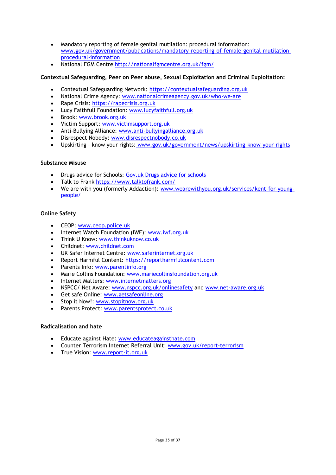- Mandatory reporting of female genital mutilation: procedural information: [www.gov.uk/government/publications/mandatory-reporting-of-female-genital-mutilation](http://www.gov.uk/government/publications/mandatory-reporting-of-female-genital-mutilation-procedural-information)[procedural-information](http://www.gov.uk/government/publications/mandatory-reporting-of-female-genital-mutilation-procedural-information)
- National FGM Centre<http://nationalfgmcentre.org.uk/fgm/>

### **Contextual Safeguarding, Peer on Peer abuse, Sexual Exploitation and Criminal Exploitation:**

- Contextual Safeguarding Network: [https://contextualsafeguarding.org.uk](https://contextualsafeguarding.org.uk/)
- National Crime Agency: [www.nationalcrimeagency.gov.uk/who-we-are](http://www.nationalcrimeagency.gov.uk/who-we-are)
- Rape Crisis: [https://rapecrisis.org.uk](https://rapecrisis.org.uk/)
- Lucy Faithfull Foundation: [www.lucyfaithfull.org.uk](http://www.lucyfaithfull.org.uk/)
- Brook: [www.brook.org.uk](http://www.brook.org.uk/)
- Victim Support: [www.victimsupport.org.uk](http://www.victimsupport.org.uk/)
- Anti-Bullying Alliance: [www.anti-bullyingalliance.org.uk](http://www.anti-bullyingalliance.org.uk/)
- Disrespect Nobody: [www.disrespectnobody.co.uk](http://www.disrespectnobody.co.uk/)
- Upskirting know your rights: www.gov.uk/government/news/upskirting-know-your-rights

#### **Substance Misuse**

- Drugs advice for Schools: Gov.uk Drugs [advice for schools](https://www.gov.uk/government/publications/drugs-advice-for-schools)
- Talk to Frank<https://www.talktofrank.com/>
- We are with you (formerly Addaction): [www.wearewithyou.org.uk/services/kent-for-young](http://www.wearewithyou.org.uk/services/kent-for-young-people/)[people/](http://www.wearewithyou.org.uk/services/kent-for-young-people/)

#### **Online Safety**

- CEOP: [www.ceop.police.uk](http://www.ceop.police.uk/)
- Internet Watch Foundation (IWF): [www.iwf.org.uk](http://www.iwf.org.uk/)
- Think U Know: [www.thinkuknow.co.uk](http://www.thinkuknow.co.uk/)
- Childnet: [www.childnet.com](http://www.childnet.com/)
- UK Safer Internet Centre: [www.saferinternet.org.uk](http://www.saferinternet.org.uk/)
- Report Harmful Content: [https://reportharmfulcontent.com](https://reportharmfulcontent.com/)
- Parents Info: [www.parentinfo.org](http://www.parentinfo.org/)
- Marie Collins Foundation: [www.mariecollinsfoundation.org.uk](http://www.mariecollinsfoundation.org.uk/)
- Internet Matters: [www.internetmatters.org](http://www.internetmatters.org/)
- NSPCC/ Net Aware: [www.nspcc.org.uk/onlinesafety](http://www.nspcc.org.uk/onlinesafety) and [www.net-aware.org.uk](http://www.net-aware.org.uk/)
- Get safe Online: [www.getsafeonline.org](https://www.getsafeonline.org/)
- Stop it Now!: [www.stopitnow.org.uk](http://www.stopitnow.org.uk/)
- Parents Protect: [www.parentsprotect.co.uk](http://www.parentsprotect.co.uk/)

#### **Radicalisation and hate**

- Educate against Hate: [www.educateagainsthate.com](http://www.educateagainsthate.com/)
- Counter Terrorism Internet Referral Unit: [www.gov.uk/report-terrorism](http://www.gov.uk/report-terrorism)
- True Vision: [www.report-it.org.uk](http://www.report-it.org.uk/)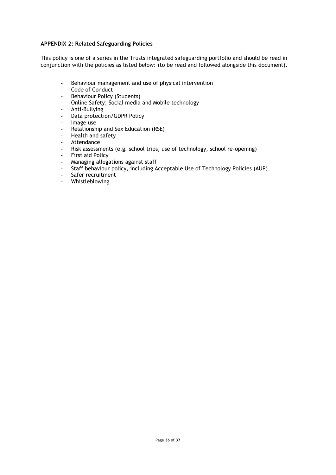#### **APPENDIX 2: Related Safeguarding Policies**

This policy is one of a series in the Trusts integrated safeguarding portfolio and should be read in conjunction with the policies as listed below: (to be read and followed alongside this document).

- Behaviour management and use of physical intervention
- Code of Conduct
- Behaviour Policy (Students)
- Online Safety; Social media and Mobile technology
- Anti-Bullying
- Data protection/GDPR Policy<br>- Image use
- Image use
- Relationship and Sex Education (RSE)
- Health and safety
- Attendance
- Risk assessments (e.g. school trips, use of technology, school re-opening)
- First aid Policy
- Managing allegations against staff
- Staff behaviour policy, including Acceptable Use of Technology Policies (AUP)
- Safer recruitment
- Whistleblowing